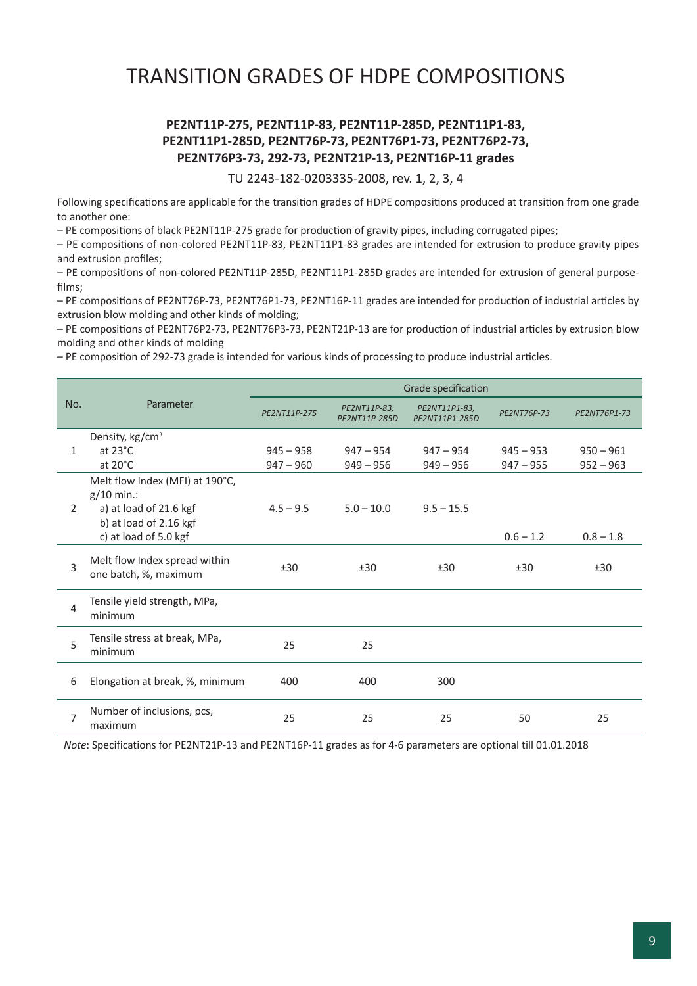## TRANSITION GRADES OF HDPE COMPOSITIONS

#### **PE2NT11P-275, PE2NT11P-83, PE2NT11P-285D, PE2NT11P1-83, PE2NT11P1-285D, PE2NT76P-73, PE2NT76P1-73, PE2NT76P2-73, PE2NT76P3-73, 292-73, PE2NT21P-13, PE2NT16P-11 grades**

TU 2243-182-0203335-2008, rev. 1, 2, 3, 4

Following specifications are applicable for the transition grades of HDPE compositions produced at transition from one grade to another one:

– PE compositions of black PE2NT11P-275 grade for production of gravity pipes, including corrugated pipes;

– PE compositions of non-colored PE2NT11P-83, PE2NT11P1-83 grades are intended for extrusion to produce gravity pipes and extrusion profiles;

– PE compositions of non-colored PE2NT11P-285D, PE2NT11P1-285D grades are intended for extrusion of general purposefilms;

– PE compositions of PE2NT76P-73, PE2NT76P1-73, PE2NT16P-11 grades are intended for production of industrial articles by extrusion blow molding and other kinds of molding;

– PE compositions of PE2NT76P2-73, PE2NT76P3-73, PE2NT21P-13 are for production of industrial articles by extrusion blow molding and other kinds of molding

– PE composition of 292-73 grade is intended for various kinds of processing to produce industrial articles.

|                | Parameter                                                                                                                    | Grade specification        |                               |                                 |                            |                            |  |  |
|----------------|------------------------------------------------------------------------------------------------------------------------------|----------------------------|-------------------------------|---------------------------------|----------------------------|----------------------------|--|--|
| No.            |                                                                                                                              | PE2NT11P-275               | PE2NT11P-83,<br>PE2NT11P-285D | PE2NT11P1-83,<br>PE2NT11P1-285D | PE2NT76P-73                | PE2NT76P1-73               |  |  |
| 1              | Density, kg/cm <sup>3</sup><br>at $23^{\circ}$ C<br>at $20^{\circ}$ C                                                        | $945 - 958$<br>$947 - 960$ | $947 - 954$<br>$949 - 956$    | $947 - 954$<br>$949 - 956$      | $945 - 953$<br>$947 - 955$ | $950 - 961$<br>$952 - 963$ |  |  |
| $\overline{2}$ | Melt flow Index (MFI) at 190°C,<br>$g/10$ min.:<br>a) at load of 21.6 kgf<br>b) at load of 2.16 kgf<br>c) at load of 5.0 kgf | $4.5 - 9.5$                | $5.0 - 10.0$                  | $9.5 - 15.5$                    | $0.6 - 1.2$                | $0.8 - 1.8$                |  |  |
| 3              | Melt flow Index spread within<br>one batch, %, maximum                                                                       | ±30                        | ±30                           | ±30                             | ±30                        | ±30                        |  |  |
| 4              | Tensile yield strength, MPa,<br>minimum                                                                                      |                            |                               |                                 |                            |                            |  |  |
| 5              | Tensile stress at break, MPa,<br>minimum                                                                                     | 25                         | 25                            |                                 |                            |                            |  |  |
| 6              | Elongation at break, %, minimum                                                                                              | 400                        | 400                           | 300                             |                            |                            |  |  |
| 7              | Number of inclusions, pcs,<br>maximum                                                                                        | 25                         | 25                            | 25                              | 50                         | 25                         |  |  |

*Note*: Specifications for PE2NT21P-13 and PE2NT16P-11 grades as for 4-6 parameters are optional till 01.01.2018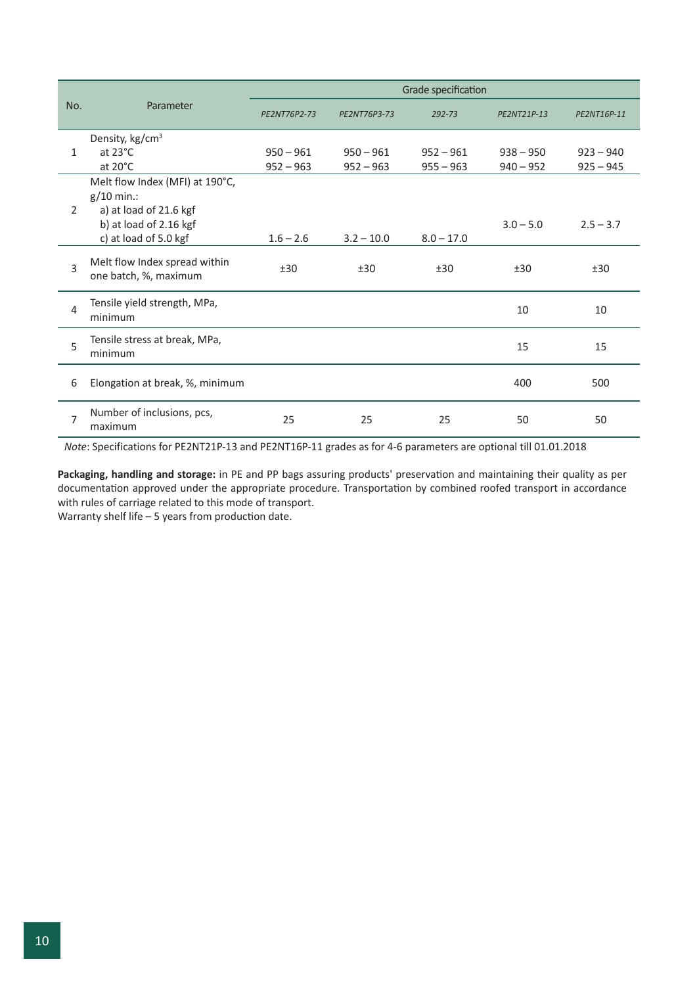|                | Parameter                                                                                                                    | Grade specification        |                            |                            |                            |                            |  |  |
|----------------|------------------------------------------------------------------------------------------------------------------------------|----------------------------|----------------------------|----------------------------|----------------------------|----------------------------|--|--|
| No.            |                                                                                                                              | PE2NT76P2-73               | PE2NT76P3-73               | 292-73                     | PE2NT21P-13                | PE2NT16P-11                |  |  |
| $\mathbf{1}$   | Density, kg/cm <sup>3</sup><br>at $23^{\circ}$ C<br>at $20^{\circ}$ C                                                        | $950 - 961$<br>$952 - 963$ | $950 - 961$<br>$952 - 963$ | $952 - 961$<br>$955 - 963$ | $938 - 950$<br>$940 - 952$ | $923 - 940$<br>$925 - 945$ |  |  |
| $\overline{2}$ | Melt flow Index (MFI) at 190°C,<br>$g/10$ min.:<br>a) at load of 21.6 kgf<br>b) at load of 2.16 kgf<br>c) at load of 5.0 kgf | $1.6 - 2.6$                | $3.2 - 10.0$               | $8.0 - 17.0$               | $3.0 - 5.0$                | $2.5 - 3.7$                |  |  |
| 3              | Melt flow Index spread within<br>one batch, %, maximum                                                                       | ±30                        | ±30                        | ±30                        | ±30                        | ±30                        |  |  |
| $\overline{4}$ | Tensile yield strength, MPa,<br>minimum                                                                                      |                            |                            |                            | 10                         | 10                         |  |  |
| 5              | Tensile stress at break, MPa,<br>minimum                                                                                     |                            |                            |                            | 15                         | 15                         |  |  |
| 6              | Elongation at break, %, minimum                                                                                              |                            |                            |                            | 400                        | 500                        |  |  |
| 7              | Number of inclusions, pcs,<br>maximum                                                                                        | 25                         | 25                         | 25                         | 50                         | 50                         |  |  |

*Note*: Specifications for PE2NT21P-13 and PE2NT16P-11 grades as for 4-6 parameters are optional till 01.01.2018

**Packaging, handling and storage:** in PE and PP bags assuring products' preservation and maintaining their quality as per documentation approved under the appropriate procedure. Transportation by combined roofed transport in accordance with rules of carriage related to this mode of transport.

Warranty shelf life – 5 years from production date.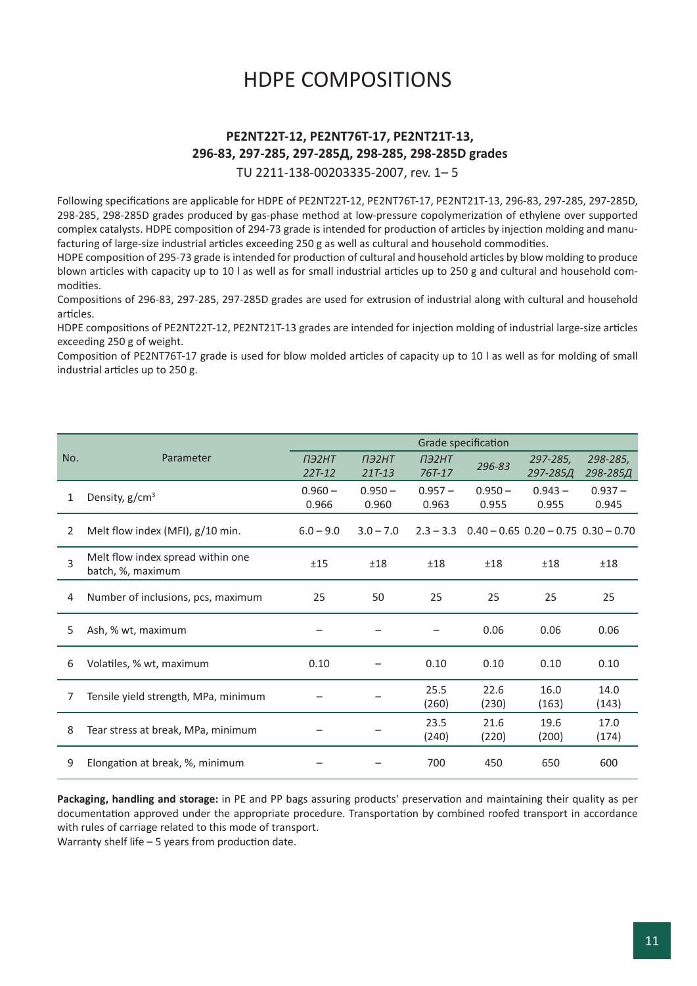## HDPE COMPOSITIONS

### **PE2NT22Т-12, PE2NТ76Т-17, PE2NТ21Т-13, 296-83, 297-285, 297-285Д, 298-285, 298-285D grades**

TU 2211-138-00203335-2007, rev. 1– 5

Following specifications are applicable for HDPE of PE2NT22T-12, PE2NT76Т-17, PE2NT21Т-13, 296-83, 297-285, 297-285D, 298-285, 298-285D grades produced by gas-phase method at low-pressure copolymerization of ethylene over supported complex catalysts. HDPE composition of 294-73 grade is intended for production of articles by injection molding and manufacturing of large-size industrial articles exceeding 250 g as well as cultural and household commodities.

HDPE composition of 295-73 grade is intended for production of cultural and household articles by blow molding to produce blown articles with capacity up to 10 l as well as for small industrial articles up to 250 g and cultural and household commodities.

Compositions of 296-83, 297-285, 297-285D grades are used for extrusion of industrial along with cultural and household articles.

HDPE compositions of PE2NT22Т-12, PE2NT21Т-13 grades are intended for injection molding of industrial large-size articles exceeding 250 g of weight.

Composition of PE2NT76Т-17 grade is used for blow molded articles of capacity up to 10 l as well as for molding of small industrial articles up to 250 g.

|                | Parameter                                              | Grade specification      |                          |                        |                    |                                           |                      |
|----------------|--------------------------------------------------------|--------------------------|--------------------------|------------------------|--------------------|-------------------------------------------|----------------------|
| No.            |                                                        | <b>ПЭ2НТ</b><br>$22T-12$ | <b>ПЭ2НТ</b><br>$21T-13$ | <b>ПЭ2НТ</b><br>767-17 | 296-83             | 297-285,<br>297-285Д                      | 298-285,<br>298-285Д |
| 1              | Density, $g/cm3$                                       | $0.960 -$<br>0.966       | $0.950 -$<br>0.960       | $0.957 -$<br>0.963     | $0.950 -$<br>0.955 | $0.943 -$<br>0.955                        | $0.937 -$<br>0.945   |
| $\overline{2}$ | Melt flow index (MFI), g/10 min.                       | $6.0 - 9.0$              | $3.0 - 7.0$              | $2.3 - 3.3$            |                    | $0.40 - 0.65$ $0.20 - 0.75$ $0.30 - 0.70$ |                      |
| 3              | Melt flow index spread within one<br>batch, %, maximum | ±15                      | ±18                      | ±18                    | ±18                | ±18                                       | ±18                  |
| 4              | Number of inclusions, pcs, maximum                     | 25                       | 50                       | 25                     | 25                 | 25                                        | 25                   |
| 5.             | Ash, % wt, maximum                                     |                          |                          |                        | 0.06               | 0.06                                      | 0.06                 |
| 6              | Volatiles, % wt, maximum                               | 0.10                     |                          | 0.10                   | 0.10               | 0.10                                      | 0.10                 |
| 7              | Tensile yield strength, MPa, minimum                   |                          |                          | 25.5<br>(260)          | 22.6<br>(230)      | 16.0<br>(163)                             | 14.0<br>(143)        |
| 8              | Tear stress at break, MPa, minimum                     |                          |                          | 23.5<br>(240)          | 21.6<br>(220)      | 19.6<br>(200)                             | 17.0<br>(174)        |
| 9              | Elongation at break, %, minimum                        |                          |                          | 700                    | 450                | 650                                       | 600                  |

**Packaging, handling and storage:** in PE and PP bags assuring products' preservation and maintaining their quality as per documentation approved under the appropriate procedure. Transportation by combined roofed transport in accordance with rules of carriage related to this mode of transport.

Warranty shelf life – 5 years from production date.